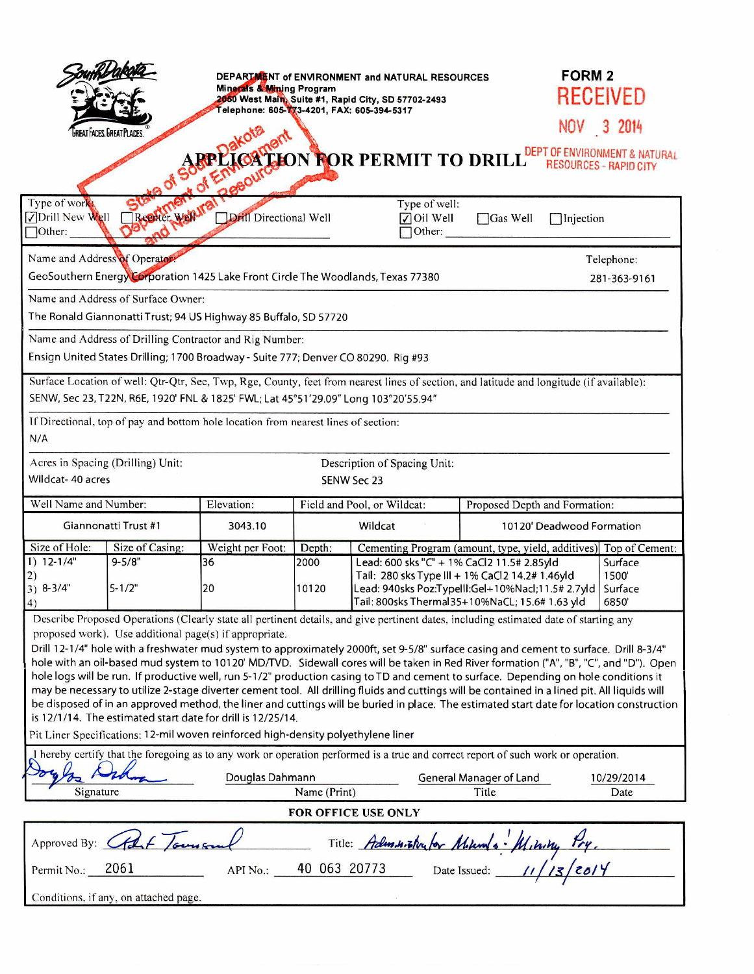|                                                                                                                                                                                                                                                                                                                                                                                                                                                                                                                                                                                                                                                                                                                                                                                                                                                                                                                                                                                                                                                                              | GREAT FACES. GREAT PLACES.            | Minerals & Mining Program<br>Telephone: 605-773-4201, FAX: 605-394-5317 |                             | DEPARTMENT of ENVIRONMENT and NATURAL RESOURCES<br>2050 West Main, Suite #1, Rapid City, SD 57702-2493                                                                                                                                    |                                  | <b>FORM 2</b><br>RECEIVED<br>NOV 3 2014<br>DEPT OF ENVIRONMENT & NATURAL |  |
|------------------------------------------------------------------------------------------------------------------------------------------------------------------------------------------------------------------------------------------------------------------------------------------------------------------------------------------------------------------------------------------------------------------------------------------------------------------------------------------------------------------------------------------------------------------------------------------------------------------------------------------------------------------------------------------------------------------------------------------------------------------------------------------------------------------------------------------------------------------------------------------------------------------------------------------------------------------------------------------------------------------------------------------------------------------------------|---------------------------------------|-------------------------------------------------------------------------|-----------------------------|-------------------------------------------------------------------------------------------------------------------------------------------------------------------------------------------------------------------------------------------|----------------------------------|--------------------------------------------------------------------------|--|
| <b>CATION FOR PERMIT TO DRILL</b><br><b>RESOURCES - RAPID CITY</b><br><b>A Of En</b><br>$\mathbf{Q}^{\mathbf{k}}$                                                                                                                                                                                                                                                                                                                                                                                                                                                                                                                                                                                                                                                                                                                                                                                                                                                                                                                                                            |                                       |                                                                         |                             |                                                                                                                                                                                                                                           |                                  |                                                                          |  |
| Type of work<br>√Drill New Well<br>$\sqrt{\text{Other}}$ :                                                                                                                                                                                                                                                                                                                                                                                                                                                                                                                                                                                                                                                                                                                                                                                                                                                                                                                                                                                                                   | Replier Wall                          | <b>Drill</b> Directional Well                                           |                             | Type of well:<br>$\sqrt{\frac{1}{1}}$ Oil Well<br>Other:                                                                                                                                                                                  | Gas Well                         | Tinjection                                                               |  |
| Name and Address of Operator                                                                                                                                                                                                                                                                                                                                                                                                                                                                                                                                                                                                                                                                                                                                                                                                                                                                                                                                                                                                                                                 |                                       |                                                                         |                             |                                                                                                                                                                                                                                           |                                  | Telephone:                                                               |  |
| GeoSouthern Energy Corporation 1425 Lake Front Circle The Woodlands, Texas 77380                                                                                                                                                                                                                                                                                                                                                                                                                                                                                                                                                                                                                                                                                                                                                                                                                                                                                                                                                                                             |                                       |                                                                         |                             |                                                                                                                                                                                                                                           |                                  | 281-363-9161                                                             |  |
| Name and Address of Surface Owner:<br>The Ronald Giannonatti Trust; 94 US Highway 85 Buffalo, SD 57720                                                                                                                                                                                                                                                                                                                                                                                                                                                                                                                                                                                                                                                                                                                                                                                                                                                                                                                                                                       |                                       |                                                                         |                             |                                                                                                                                                                                                                                           |                                  |                                                                          |  |
| Name and Address of Drilling Contractor and Rig Number:<br>Ensign United States Drilling; 1700 Broadway - Suite 777; Denver CO 80290. Rig #93                                                                                                                                                                                                                                                                                                                                                                                                                                                                                                                                                                                                                                                                                                                                                                                                                                                                                                                                |                                       |                                                                         |                             |                                                                                                                                                                                                                                           |                                  |                                                                          |  |
| Surface Location of well: Qtr-Qtr, Sec, Twp, Rge, County, feet from nearest lines of section, and latitude and longitude (if available):<br>SENW, Sec 23, T22N, R6E, 1920' FNL & 1825' FWL; Lat 45°51'29.09" Long 103°20'55.94"                                                                                                                                                                                                                                                                                                                                                                                                                                                                                                                                                                                                                                                                                                                                                                                                                                              |                                       |                                                                         |                             |                                                                                                                                                                                                                                           |                                  |                                                                          |  |
|                                                                                                                                                                                                                                                                                                                                                                                                                                                                                                                                                                                                                                                                                                                                                                                                                                                                                                                                                                                                                                                                              |                                       |                                                                         |                             |                                                                                                                                                                                                                                           |                                  |                                                                          |  |
| If Directional, top of pay and bottom hole location from nearest lines of section:<br>N/A                                                                                                                                                                                                                                                                                                                                                                                                                                                                                                                                                                                                                                                                                                                                                                                                                                                                                                                                                                                    |                                       |                                                                         |                             |                                                                                                                                                                                                                                           |                                  |                                                                          |  |
| Acres in Spacing (Drilling) Unit:<br>Description of Spacing Unit:                                                                                                                                                                                                                                                                                                                                                                                                                                                                                                                                                                                                                                                                                                                                                                                                                                                                                                                                                                                                            |                                       |                                                                         |                             |                                                                                                                                                                                                                                           |                                  |                                                                          |  |
| Wildcat- 40 acres<br>SENW Sec 23                                                                                                                                                                                                                                                                                                                                                                                                                                                                                                                                                                                                                                                                                                                                                                                                                                                                                                                                                                                                                                             |                                       |                                                                         |                             |                                                                                                                                                                                                                                           |                                  |                                                                          |  |
| Well Name and Number:                                                                                                                                                                                                                                                                                                                                                                                                                                                                                                                                                                                                                                                                                                                                                                                                                                                                                                                                                                                                                                                        |                                       | Elevation:                                                              | Field and Pool, or Wildcat: |                                                                                                                                                                                                                                           | Proposed Depth and Formation:    |                                                                          |  |
| Giannonatti Trust #1                                                                                                                                                                                                                                                                                                                                                                                                                                                                                                                                                                                                                                                                                                                                                                                                                                                                                                                                                                                                                                                         |                                       | 3043.10                                                                 | Wildcat                     |                                                                                                                                                                                                                                           |                                  | 10120' Deadwood Formation                                                |  |
| Size of Hole:                                                                                                                                                                                                                                                                                                                                                                                                                                                                                                                                                                                                                                                                                                                                                                                                                                                                                                                                                                                                                                                                | Size of Casing:                       | Weight per Foot:                                                        | Depth:                      |                                                                                                                                                                                                                                           |                                  | Cementing Program (amount, type, yield, additives) Top of Cement:        |  |
| $1)$ 12-1/4"<br>2)<br>$3) 8-3/4"$<br>4)                                                                                                                                                                                                                                                                                                                                                                                                                                                                                                                                                                                                                                                                                                                                                                                                                                                                                                                                                                                                                                      | $9 - 5/8"$<br>$5 - 1/2"$              | 36<br>20                                                                | 2000<br>10120               | Lead: 600 sks "C" + 1% CaCl2 11.5# 2.85yld<br>Surface<br>Tail: 280 sks Type III + 1% CaCl2 14.2# 1.46yld<br>1500<br>Lead: 940sks Poz:TypelII:Gel+10%Nacl;11.5#2.7yld<br>Surface<br>Tail: 800sks Thermal35+10%NaCL; 15.6# 1.63 yld<br>6850 |                                  |                                                                          |  |
| Describe Proposed Operations (Clearly state all pertinent details, and give pertinent dates, including estimated date of starting any<br>proposed work). Use additional page(s) if appropriate.<br>Drill 12-1/4" hole with a freshwater mud system to approximately 2000ft, set 9-5/8" surface casing and cement to surface. Drill 8-3/4"<br>hole with an oil-based mud system to 10120' MD/TVD. Sidewall cores will be taken in Red River formation ("A", "B", "C", and "D"). Open<br>hole logs will be run. If productive well, run 5-1/2" production casing to TD and cement to surface. Depending on hole conditions it<br>may be necessary to utilize 2-stage diverter cement tool. All drilling fluids and cuttings will be contained in a lined pit. All liquids will<br>be disposed of in an approved method, the liner and cuttings will be buried in place. The estimated start date for location construction<br>is 12/1/14. The estimated start date for drill is 12/25/14.<br>Pit Liner Specifications: 12-mil woven reinforced high-density polyethylene liner |                                       |                                                                         |                             |                                                                                                                                                                                                                                           |                                  |                                                                          |  |
| I hereby certify that the foregoing as to any work or operation performed is a true and correct report of such work or operation.                                                                                                                                                                                                                                                                                                                                                                                                                                                                                                                                                                                                                                                                                                                                                                                                                                                                                                                                            |                                       |                                                                         |                             |                                                                                                                                                                                                                                           |                                  |                                                                          |  |
| Signature                                                                                                                                                                                                                                                                                                                                                                                                                                                                                                                                                                                                                                                                                                                                                                                                                                                                                                                                                                                                                                                                    |                                       | Douglas Dahmann<br>Name (Print)                                         |                             |                                                                                                                                                                                                                                           | General Manager of Land<br>Title | 10/29/2014<br>Date                                                       |  |
| FOR OFFICE USE ONLY                                                                                                                                                                                                                                                                                                                                                                                                                                                                                                                                                                                                                                                                                                                                                                                                                                                                                                                                                                                                                                                          |                                       |                                                                         |                             |                                                                                                                                                                                                                                           |                                  |                                                                          |  |
| Approved By: Cfd F James<br>Title: Administrator Mikings - Mining                                                                                                                                                                                                                                                                                                                                                                                                                                                                                                                                                                                                                                                                                                                                                                                                                                                                                                                                                                                                            |                                       |                                                                         |                             |                                                                                                                                                                                                                                           |                                  |                                                                          |  |
| Permit No.:                                                                                                                                                                                                                                                                                                                                                                                                                                                                                                                                                                                                                                                                                                                                                                                                                                                                                                                                                                                                                                                                  | 2061                                  | API No.:                                                                | 40 063 20773                |                                                                                                                                                                                                                                           | Date Issued:                     |                                                                          |  |
|                                                                                                                                                                                                                                                                                                                                                                                                                                                                                                                                                                                                                                                                                                                                                                                                                                                                                                                                                                                                                                                                              | Conditions, if any, on attached page. |                                                                         |                             |                                                                                                                                                                                                                                           |                                  |                                                                          |  |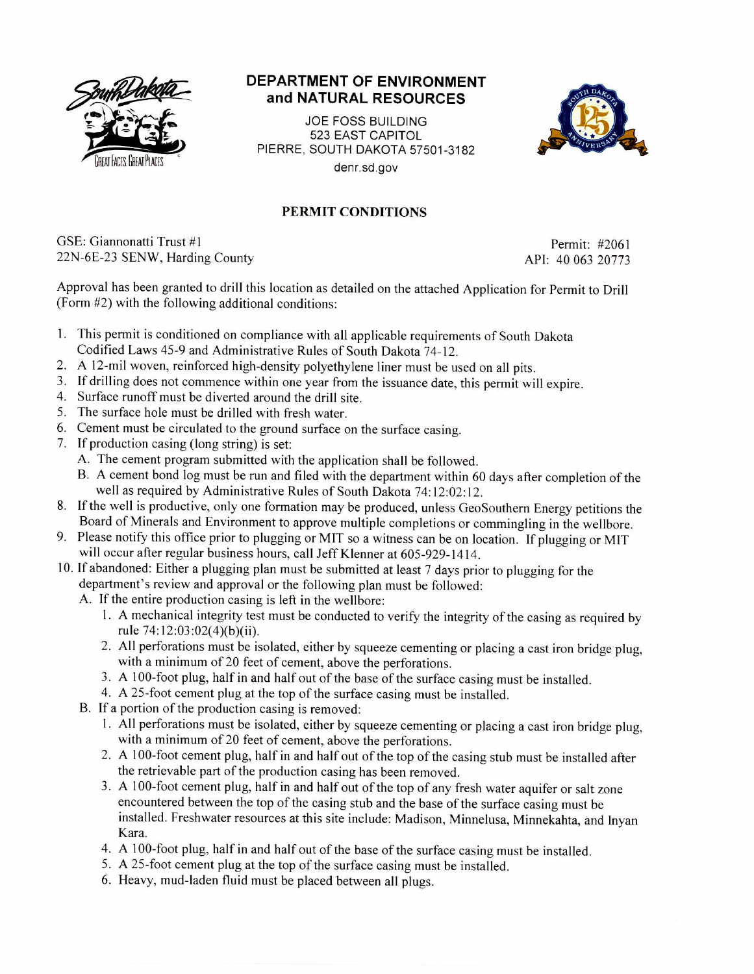

## **DEPARTMENT OF ENVIRONMENT and NATURAL RESOURCES**

JOE FOSS BUILDING 523 EAST CAPITOL PIERRE, SOUTH DAKOTA 57501-3182 denr.sd.gov



## PERMIT CONDITIONS

GSE: Giannonatti Trust #1 Permit: #2061 22N-6E-23 SENW, Harding County API: 40 063 20773

Approval has been granted to drill this location as detailed on the attached Application for Permit to Drill (Form #2) with the following additional conditions:

- 1. This permit is conditioned on compliance with all applicable requirements of South Dakota Codified Laws 45-9 and Administrative Rules of South Dakota 74-12.
- 2. A 12-mil woven, reinforced high-density polyethylene liner must be used on all pits.
- 3. If drilling does not commence within one year from the issuance date, this permit will expire.
- 4. Surface runoff must be diverted around the drill site.
- 5. The surface hole must be drilled with fresh water.
- 6. Cement must be circulated to the ground surface on the surface casing.
- 7. If production casing (long string) is set:
	- A. The cement program submitted with the application shall be followed.
	- B. A cement bond log must be run and filed with the department within 60 days after completion of the well as required by Administrative Rules of South Dakota 74:12:02:12.
- 8. If the well is productive, only one formation may be produced, unless GeoSouthern Energy petitions the Board of Minerals and Environment to approve multiple completions or commingling in the wellbore.
- 9. Please notify this office prior to plugging or MIT so a witness can be on location. If plugging or MIT will occur after regular business hours, call Jeff Klenner at 605-929-1414.
- 10. If abandoned: Either a plugging plan must be submitted at least 7 days prior to plugging for the department's review and approval or the following plan must be followed:
	- A. If the entire production casing is left in the wellbore:
		- 1. A mechanical integrity test must be conducted to verify the integrity of the casing as required by rule 74:12:03:02(4)(b)(ii).
		- 2. All perforations must be isolated, either by squeeze cementing or placing a cast iron bridge plug, with a minimum of 20 feet of cement, above the perforations.
		- 3. A 100-foot plug, half in and half out of the base of the surface casing must be installed.
		- 4. A 25-foot cement plug at the top of the surface casing must be installed.
	- B. If a portion of the production casing is removed:
		- 1. All perforations must be isolated, either by squeeze cementing or placing a cast iron bridge plug, with a minimum of 20 feet of cement, above the perforations.
		- 2. A 100-foot cement plug, half in and half out of the top of the casing stub must be installed after the retrievable part of the production casing has been removed.
		- 3. A 100-foot cement plug, half in and half out of the top of any fresh water aquifer or salt zone encountered between the top of the casing stub and the base of the surface casing must be installed. Freshwater resources at this site include: Madison, Minnelusa, Minnekahta, and Inyan Kara.
		- 4. A 100-foot plug, half in and half out of the base of the surface casing must be installed.
		- 5. A 25-foot cement plug at the top of the surface casing must be installed.
		- 6. Heavy, mud-laden fluid must be placed between all plugs.